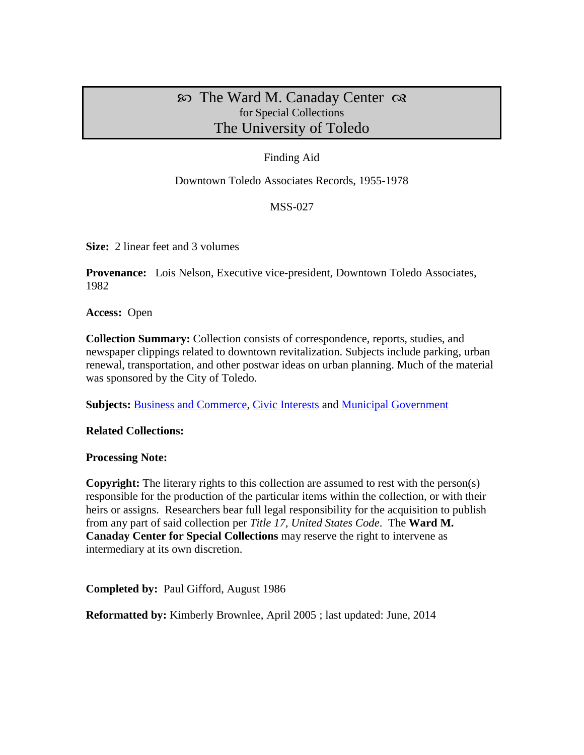# $\infty$  The Ward M. Canaday Center  $\infty$ for Special Collections The University of Toledo

## Finding Aid

Downtown Toledo Associates Records, 1955-1978

### MSS-027

**Size:** 2 linear feet and 3 volumes

**Provenance:** Lois Nelson, Executive vice-president, Downtown Toledo Associates, 1982

**Access:** Open

**Collection Summary:** Collection consists of correspondence, reports, studies, and newspaper clippings related to downtown revitalization. Subjects include parking, urban renewal, transportation, and other postwar ideas on urban planning. Much of the material was sponsored by the City of Toledo.

**Subjects: [Business and Commerce,](http://www.utoledo.edu/library/canaday/guidepages/business.html) [Civic Interests](http://www.utoledo.edu/library/canaday/guidepages/civic.html) and [Municipal Government](http://www.utoledo.edu/library/canaday/guidepages/muni.html)** 

### **Related Collections:**

#### **Processing Note:**

**Copyright:** The literary rights to this collection are assumed to rest with the person(s) responsible for the production of the particular items within the collection, or with their heirs or assigns. Researchers bear full legal responsibility for the acquisition to publish from any part of said collection per *Title 17, United States Code*. The **Ward M. Canaday Center for Special Collections** may reserve the right to intervene as intermediary at its own discretion.

**Completed by:** Paul Gifford, August 1986

**Reformatted by:** Kimberly Brownlee, April 2005 ; last updated: June, 2014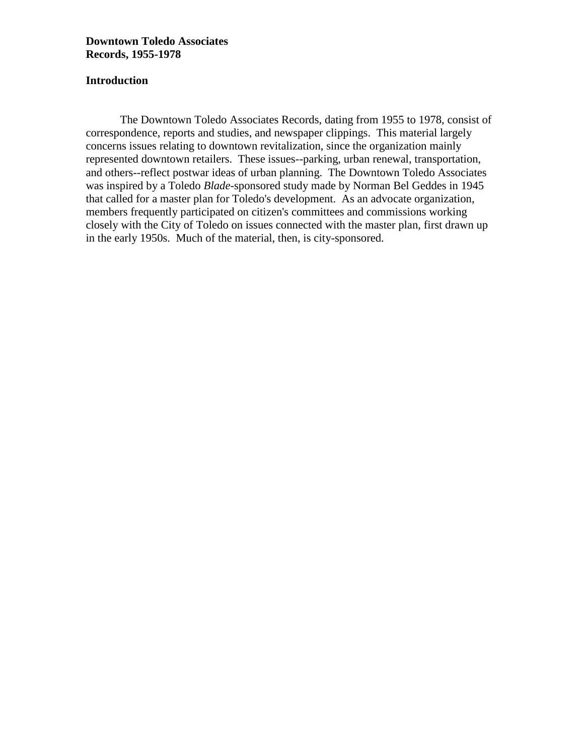### **Introduction**

The Downtown Toledo Associates Records, dating from 1955 to 1978, consist of correspondence, reports and studies, and newspaper clippings. This material largely concerns issues relating to downtown revitalization, since the organization mainly represented downtown retailers. These issues--parking, urban renewal, transportation, and others--reflect postwar ideas of urban planning. The Downtown Toledo Associates was inspired by a Toledo *Blade*-sponsored study made by Norman Bel Geddes in 1945 that called for a master plan for Toledo's development. As an advocate organization, members frequently participated on citizen's committees and commissions working closely with the City of Toledo on issues connected with the master plan, first drawn up in the early 1950s. Much of the material, then, is city-sponsored.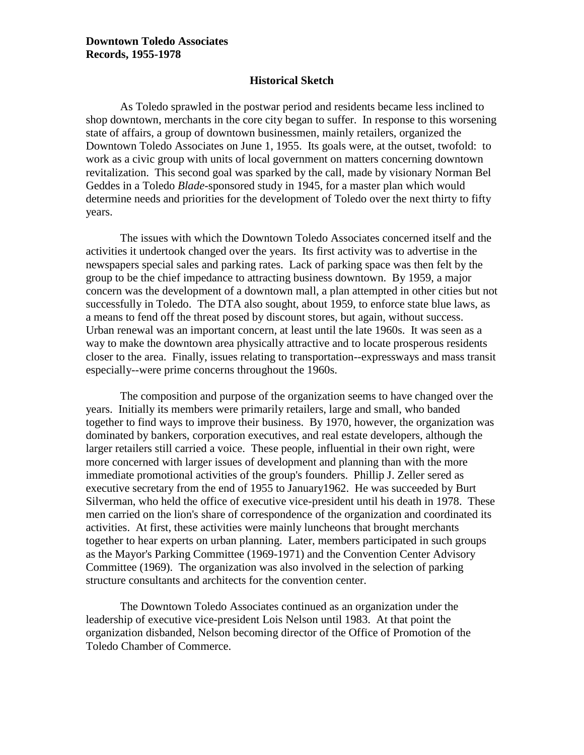#### **Historical Sketch**

As Toledo sprawled in the postwar period and residents became less inclined to shop downtown, merchants in the core city began to suffer. In response to this worsening state of affairs, a group of downtown businessmen, mainly retailers, organized the Downtown Toledo Associates on June 1, 1955. Its goals were, at the outset, twofold: to work as a civic group with units of local government on matters concerning downtown revitalization. This second goal was sparked by the call, made by visionary Norman Bel Geddes in a Toledo *Blade*-sponsored study in 1945, for a master plan which would determine needs and priorities for the development of Toledo over the next thirty to fifty years.

The issues with which the Downtown Toledo Associates concerned itself and the activities it undertook changed over the years. Its first activity was to advertise in the newspapers special sales and parking rates. Lack of parking space was then felt by the group to be the chief impedance to attracting business downtown. By 1959, a major concern was the development of a downtown mall, a plan attempted in other cities but not successfully in Toledo. The DTA also sought, about 1959, to enforce state blue laws, as a means to fend off the threat posed by discount stores, but again, without success. Urban renewal was an important concern, at least until the late 1960s. It was seen as a way to make the downtown area physically attractive and to locate prosperous residents closer to the area. Finally, issues relating to transportation--expressways and mass transit especially--were prime concerns throughout the 1960s.

The composition and purpose of the organization seems to have changed over the years. Initially its members were primarily retailers, large and small, who banded together to find ways to improve their business. By 1970, however, the organization was dominated by bankers, corporation executives, and real estate developers, although the larger retailers still carried a voice. These people, influential in their own right, were more concerned with larger issues of development and planning than with the more immediate promotional activities of the group's founders. Phillip J. Zeller sered as executive secretary from the end of 1955 to January1962. He was succeeded by Burt Silverman, who held the office of executive vice-president until his death in 1978. These men carried on the lion's share of correspondence of the organization and coordinated its activities. At first, these activities were mainly luncheons that brought merchants together to hear experts on urban planning. Later, members participated in such groups as the Mayor's Parking Committee (1969-1971) and the Convention Center Advisory Committee (1969). The organization was also involved in the selection of parking structure consultants and architects for the convention center.

The Downtown Toledo Associates continued as an organization under the leadership of executive vice-president Lois Nelson until 1983. At that point the organization disbanded, Nelson becoming director of the Office of Promotion of the Toledo Chamber of Commerce.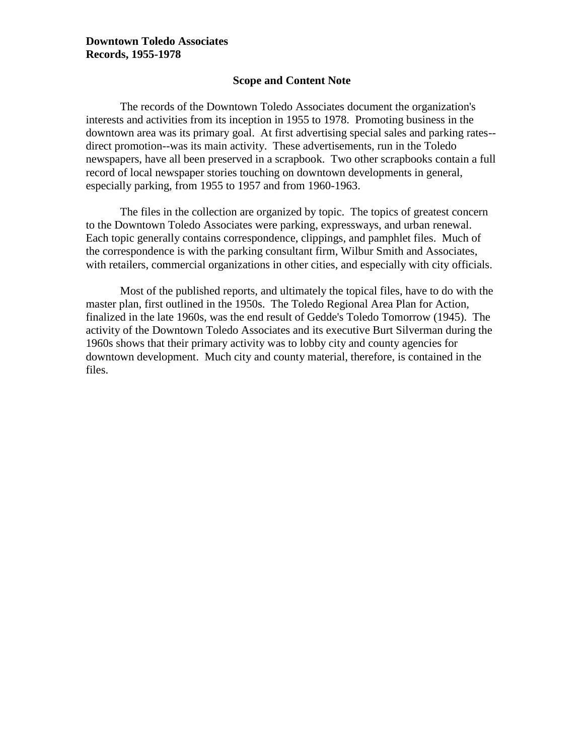### **Scope and Content Note**

The records of the Downtown Toledo Associates document the organization's interests and activities from its inception in 1955 to 1978. Promoting business in the downtown area was its primary goal. At first advertising special sales and parking rates- direct promotion--was its main activity. These advertisements, run in the Toledo newspapers, have all been preserved in a scrapbook. Two other scrapbooks contain a full record of local newspaper stories touching on downtown developments in general, especially parking, from 1955 to 1957 and from 1960-1963.

The files in the collection are organized by topic. The topics of greatest concern to the Downtown Toledo Associates were parking, expressways, and urban renewal. Each topic generally contains correspondence, clippings, and pamphlet files. Much of the correspondence is with the parking consultant firm, Wilbur Smith and Associates, with retailers, commercial organizations in other cities, and especially with city officials.

Most of the published reports, and ultimately the topical files, have to do with the master plan, first outlined in the 1950s. The Toledo Regional Area Plan for Action, finalized in the late 1960s, was the end result of Gedde's Toledo Tomorrow (1945). The activity of the Downtown Toledo Associates and its executive Burt Silverman during the 1960s shows that their primary activity was to lobby city and county agencies for downtown development. Much city and county material, therefore, is contained in the files.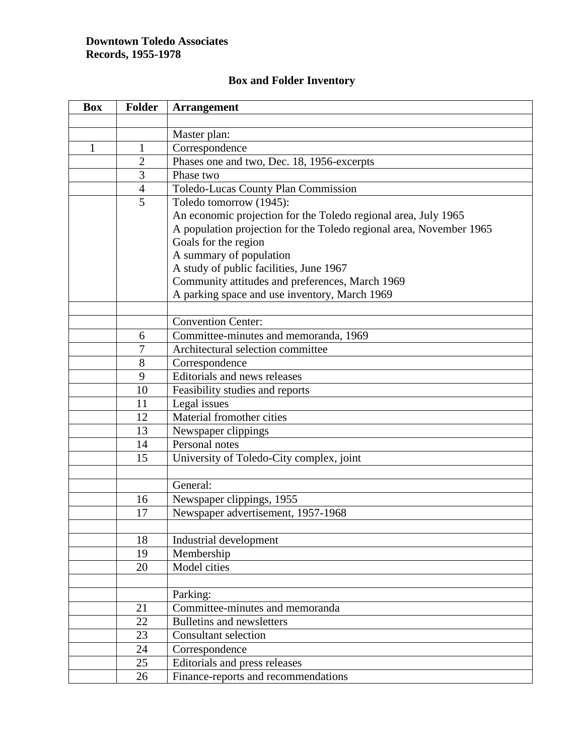| <b>Box</b>   | <b>Folder</b>  | <b>Arrangement</b>                                                  |
|--------------|----------------|---------------------------------------------------------------------|
|              |                |                                                                     |
|              |                | Master plan:                                                        |
| $\mathbf{1}$ | $\mathbf{1}$   | Correspondence                                                      |
|              | $\overline{2}$ | Phases one and two, Dec. 18, 1956-excerpts                          |
|              | 3              | Phase two                                                           |
|              | $\overline{4}$ | Toledo-Lucas County Plan Commission                                 |
|              | 5              | Toledo tomorrow (1945):                                             |
|              |                | An economic projection for the Toledo regional area, July 1965      |
|              |                | A population projection for the Toledo regional area, November 1965 |
|              |                | Goals for the region                                                |
|              |                | A summary of population                                             |
|              |                | A study of public facilities, June 1967                             |
|              |                | Community attitudes and preferences, March 1969                     |
|              |                | A parking space and use inventory, March 1969                       |
|              |                |                                                                     |
|              |                | <b>Convention Center:</b>                                           |
|              | 6              | Committee-minutes and memoranda, 1969                               |
|              | 7              | Architectural selection committee                                   |
|              | 8              | Correspondence                                                      |
|              | 9              | Editorials and news releases                                        |
|              | 10             | Feasibility studies and reports                                     |
|              | 11             | Legal issues                                                        |
|              | 12             | Material fromother cities                                           |
|              | 13             | Newspaper clippings                                                 |
|              | 14             | Personal notes                                                      |
|              | 15             | University of Toledo-City complex, joint                            |
|              |                |                                                                     |
|              |                | General:                                                            |
|              | 16             | Newspaper clippings, 1955                                           |
|              | 17             | Newspaper advertisement, 1957-1968                                  |
|              |                |                                                                     |
|              | 18             | Industrial development                                              |
|              | 19             | Membership                                                          |
|              | 20             | Model cities                                                        |
|              |                |                                                                     |
|              | 21             | Parking:<br>Committee-minutes and memoranda                         |
|              | 22             | <b>Bulletins and newsletters</b>                                    |
|              | 23             | <b>Consultant selection</b>                                         |
|              | 24             | Correspondence                                                      |
|              | 25             | Editorials and press releases                                       |
|              |                |                                                                     |
|              | 26             | Finance-reports and recommendations                                 |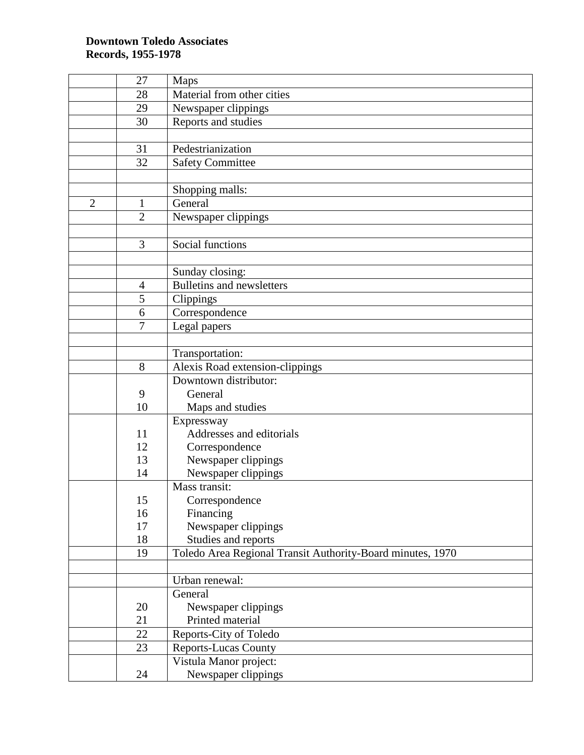|                | 27              | Maps                                                       |
|----------------|-----------------|------------------------------------------------------------|
|                | 28              | Material from other cities                                 |
|                | 29              | Newspaper clippings                                        |
|                | 30              | Reports and studies                                        |
|                |                 |                                                            |
|                | 31              | Pedestrianization                                          |
|                | 32              | <b>Safety Committee</b>                                    |
|                |                 |                                                            |
|                |                 | Shopping malls:                                            |
| $\overline{2}$ | $\mathbf{1}$    | General                                                    |
|                | $\overline{2}$  | Newspaper clippings                                        |
|                |                 |                                                            |
|                | 3               | Social functions                                           |
|                |                 |                                                            |
|                |                 | Sunday closing:                                            |
|                | $\overline{4}$  | <b>Bulletins and newsletters</b>                           |
|                | 5               | Clippings                                                  |
|                | 6               | Correspondence                                             |
|                | $\overline{7}$  | Legal papers                                               |
|                |                 |                                                            |
|                |                 | Transportation:                                            |
|                | 8               | Alexis Road extension-clippings                            |
|                |                 | Downtown distributor:                                      |
|                | 9               | General                                                    |
|                | 10              | Maps and studies                                           |
|                |                 | Expressway                                                 |
|                | 11              | Addresses and editorials                                   |
|                | 12              | Correspondence                                             |
|                | 13              | Newspaper clippings                                        |
|                | 14              | Newspaper clippings                                        |
|                |                 | Mass transit:                                              |
|                | 15              | Correspondence                                             |
|                | 16              | Financing                                                  |
|                | 17              | Newspaper clippings                                        |
|                | 18              | Studies and reports                                        |
|                | 19              | Toledo Area Regional Transit Authority-Board minutes, 1970 |
|                |                 |                                                            |
|                |                 | Urban renewal:                                             |
|                |                 | General                                                    |
|                | 20              | Newspaper clippings                                        |
|                | 21              | Printed material                                           |
|                | $\overline{22}$ | Reports-City of Toledo                                     |
|                | 23              | <b>Reports-Lucas County</b>                                |
|                |                 | Vistula Manor project:                                     |
|                | 24              | Newspaper clippings                                        |